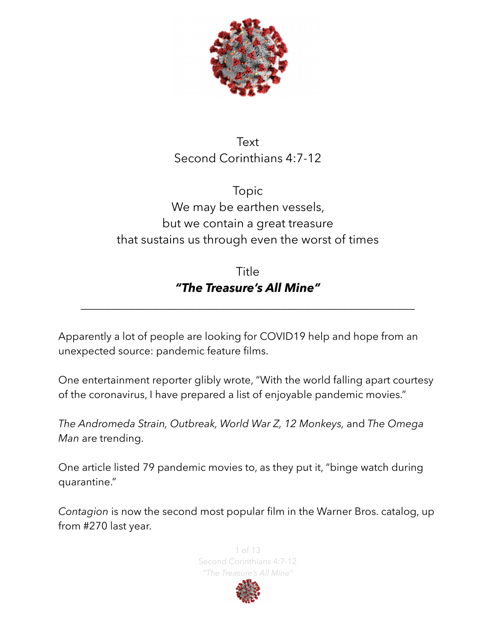

## Text Second Corinthians 4:7-12

# Topic We may be earthen vessels, but we contain a great treasure that sustains us through even the worst of times

## Title *"The Treasure's All Mine"*

*\_\_\_\_\_\_\_\_\_\_\_\_\_\_\_\_\_\_\_\_\_\_\_\_\_\_\_\_\_\_\_\_\_\_\_\_\_\_\_\_\_\_\_\_\_\_\_\_\_\_\_\_\_\_\_* 

Apparently a lot of people are looking for COVID19 help and hope from an unexpected source: pandemic feature films.

One entertainment reporter glibly wrote, "With the world falling apart courtesy of the coronavirus, I have prepared a list of enjoyable pandemic movies."

*The Andromeda Strain, Outbreak, World War Z, 12 Monkeys,* and *The Omega Man* are trending.

One article listed 79 pandemic movies to, as they put it, "binge watch during quarantine."

*Contagion* is now the second most popular film in the Warner Bros. catalog, up from #270 last year.



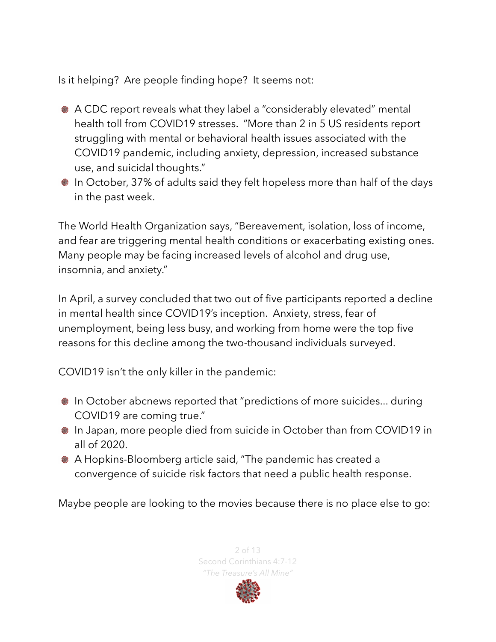Is it helping? Are people finding hope? It seems not:

- A CDC report reveals what they label a "considerably elevated" mental health toll from COVID19 stresses. "More than 2 in 5 US residents report struggling with mental or behavioral health issues associated with the COVID19 pandemic, including anxiety, depression, increased substance use, and suicidal thoughts."
- In October, 37% of adults said they felt hopeless more than half of the days in the past week.

The World Health Organization says, "Bereavement, isolation, loss of income, and fear are triggering mental health conditions or exacerbating existing ones. Many people may be facing increased levels of alcohol and drug use, insomnia, and anxiety."

In April, a survey concluded that two out of five participants reported a decline in mental health since COVID19's inception. Anxiety, stress, fear of unemployment, being less busy, and working from home were the top five reasons for this decline among the two-thousand individuals surveyed.

COVID19 isn't the only killer in the pandemic:

- In October abcnews reported that "predictions of more suicides... during COVID19 are coming true."
- In Japan, more people died from suicide in October than from COVID19 in all of 2020.
- A Hopkins-Bloomberg article said, "The pandemic has created a convergence of suicide risk factors that need a public health response.

Maybe people are looking to the movies because there is no place else to go:

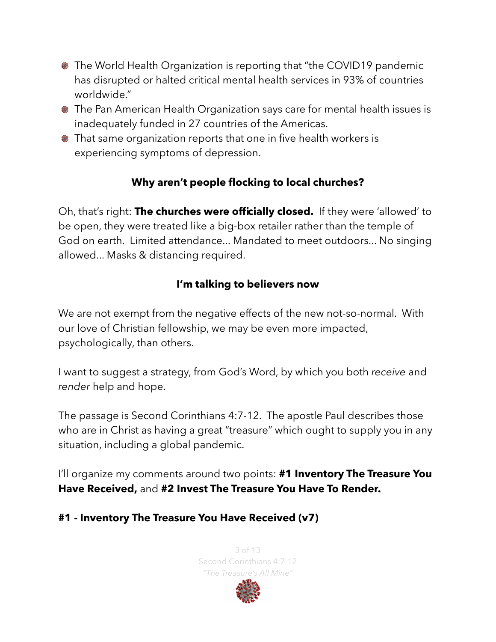- The World Health Organization is reporting that "the COVID19 pandemic has disrupted or halted critical mental health services in 93% of countries worldwide."
- The Pan American Health Organization says care for mental health issues is inadequately funded in 27 countries of the Americas.
- That same organization reports that one in five health workers is experiencing symptoms of depression.

## **Why aren't people flocking to local churches?**

Oh, that's right: **The churches were officially closed.** If they were 'allowed' to be open, they were treated like a big-box retailer rather than the temple of God on earth. Limited attendance... Mandated to meet outdoors... No singing allowed... Masks & distancing required.

## **I'm talking to believers now**

We are not exempt from the negative effects of the new not-so-normal. With our love of Christian fellowship, we may be even more impacted, psychologically, than others.

I want to suggest a strategy, from God's Word, by which you both *receive* and *render* help and hope.

The passage is Second Corinthians 4:7-12. The apostle Paul describes those who are in Christ as having a great "treasure" which ought to supply you in any situation, including a global pandemic.

I'll organize my comments around two points: **#1 Inventory The Treasure You Have Received,** and **#2 Invest The Treasure You Have To Render.** 

#### **#1 - Inventory The Treasure You Have Received (v7)**

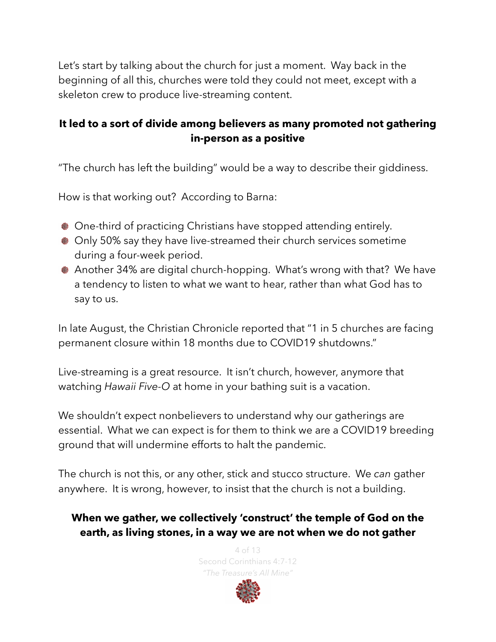Let's start by talking about the church for just a moment. Way back in the beginning of all this, churches were told they could not meet, except with a skeleton crew to produce live-streaming content.

#### **It led to a sort of divide among believers as many promoted not gathering in-person as a positive**

"The church has left the building" would be a way to describe their giddiness.

How is that working out? According to Barna:

- One-third of practicing Christians have stopped attending entirely.
- Only 50% say they have live-streamed their church services sometime during a four-week period.
- Another 34% are digital church-hopping. What's wrong with that? We have a tendency to listen to what we want to hear, rather than what God has to say to us.

In late August, the Christian Chronicle reported that "1 in 5 churches are facing permanent closure within 18 months due to COVID19 shutdowns."

Live-streaming is a great resource. It isn't church, however, anymore that watching *Hawaii Five-O* at home in your bathing suit is a vacation.

We shouldn't expect nonbelievers to understand why our gatherings are essential. What we can expect is for them to think we are a COVID19 breeding ground that will undermine efforts to halt the pandemic.

The church is not this, or any other, stick and stucco structure. We *can* gather anywhere. It is wrong, however, to insist that the church is not a building.

## **When we gather, we collectively 'construct' the temple of God on the earth, as living stones, in a way we are not when we do not gather**

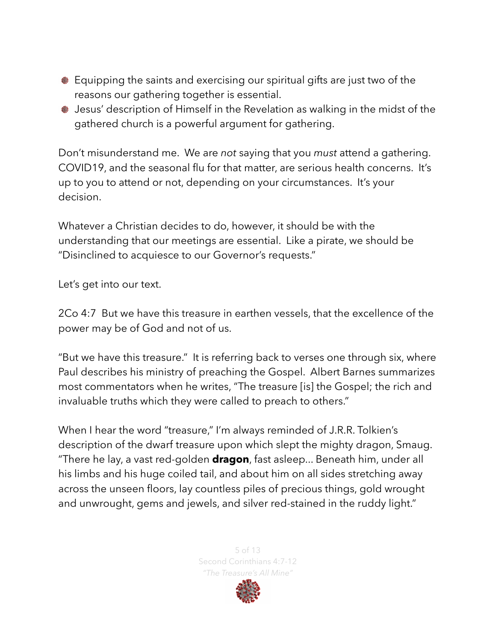- Equipping the saints and exercising our spiritual gifts are just two of the reasons our gathering together is essential.
- Jesus' description of Himself in the Revelation as walking in the midst of the gathered church is a powerful argument for gathering.

Don't misunderstand me. We are *not* saying that you *must* attend a gathering. COVID19, and the seasonal flu for that matter, are serious health concerns. It's up to you to attend or not, depending on your circumstances. It's your decision.

Whatever a Christian decides to do, however, it should be with the understanding that our meetings are essential. Like a pirate, we should be "Disinclined to acquiesce to our Governor's requests."

Let's get into our text.

2Co 4:7 But we have this treasure in earthen vessels, that the excellence of the power may be of God and not of us.

"But we have this treasure." It is referring back to verses one through six, where Paul describes his ministry of preaching the Gospel. Albert Barnes summarizes most commentators when he writes, "The treasure [is] the Gospel; the rich and invaluable truths which they were called to preach to others."

When I hear the word "treasure," I'm always reminded of J.R.R. Tolkien's description of the dwarf treasure upon which slept the mighty dragon, Smaug. "There he lay, a vast red-golden **dragon**, fast asleep... Beneath him, under all his limbs and his huge coiled tail, and about him on all sides stretching away across the unseen floors, lay countless piles of precious things, gold wrought and unwrought, gems and jewels, and silver red-stained in the ruddy light."



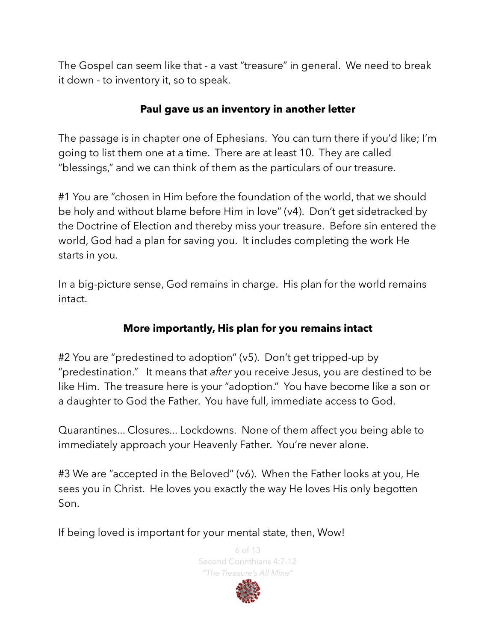The Gospel can seem like that - a vast "treasure" in general. We need to break it down - to inventory it, so to speak.

#### **Paul gave us an inventory in another letter**

The passage is in chapter one of Ephesians. You can turn there if you'd like; I'm going to list them one at a time. There are at least 10. They are called "blessings," and we can think of them as the particulars of our treasure.

#1 You are "chosen in Him before the foundation of the world, that we should be holy and without blame before Him in love" (v4). Don't get sidetracked by the Doctrine of Election and thereby miss your treasure. Before sin entered the world, God had a plan for saving you. It includes completing the work He starts in you.

In a big-picture sense, God remains in charge. His plan for the world remains intact.

#### **More importantly, His plan for you remains intact**

#2 You are "predestined to adoption" (v5). Don't get tripped-up by "predestination." It means that *after* you receive Jesus, you are destined to be like Him. The treasure here is your "adoption." You have become like a son or a daughter to God the Father. You have full, immediate access to God.

Quarantines... Closures... Lockdowns. None of them affect you being able to immediately approach your Heavenly Father. You're never alone.

#3 We are "accepted in the Beloved" (v6). When the Father looks at you, He sees you in Christ. He loves you exactly the way He loves His only begotten Son.

If being loved is important for your mental state, then, Wow!

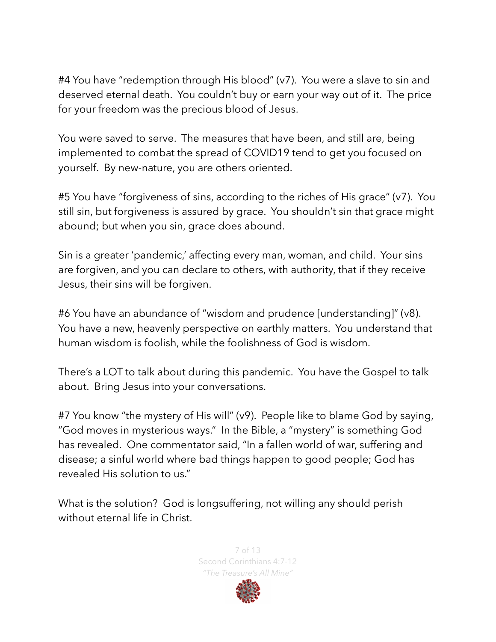#4 You have "redemption through His blood" (v7). You were a slave to sin and deserved eternal death. You couldn't buy or earn your way out of it. The price for your freedom was the precious blood of Jesus.

You were saved to serve. The measures that have been, and still are, being implemented to combat the spread of COVID19 tend to get you focused on yourself. By new-nature, you are others oriented.

#5 You have "forgiveness of sins, according to the riches of His grace" (v7). You still sin, but forgiveness is assured by grace. You shouldn't sin that grace might abound; but when you sin, grace does abound.

Sin is a greater 'pandemic,' affecting every man, woman, and child. Your sins are forgiven, and you can declare to others, with authority, that if they receive Jesus, their sins will be forgiven.

#6 You have an abundance of "wisdom and prudence [understanding]" (v8). You have a new, heavenly perspective on earthly matters. You understand that human wisdom is foolish, while the foolishness of God is wisdom.

There's a LOT to talk about during this pandemic. You have the Gospel to talk about. Bring Jesus into your conversations.

#7 You know "the mystery of His will" (v9). People like to blame God by saying, "God moves in mysterious ways." In the Bible, a "mystery" is something God has revealed. One commentator said, "In a fallen world of war, suffering and disease; a sinful world where bad things happen to good people; God has revealed His solution to us."

What is the solution? God is longsuffering, not willing any should perish without eternal life in Christ.

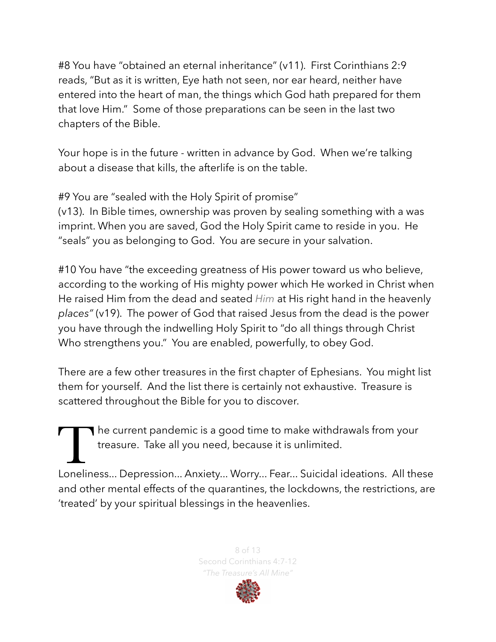#8 You have "obtained an eternal inheritance" (v11). First Corinthians 2:9 reads, "But as it is written, Eye hath not seen, nor ear heard, neither have entered into the heart of man, the things which God hath prepared for them that love Him." Some of those preparations can be seen in the last two chapters of the Bible.

Your hope is in the future - written in advance by God. When we're talking about a disease that kills, the afterlife is on the table.

#9 You are "sealed with the Holy Spirit of promise"

(v13). In Bible times, ownership was proven by sealing something with a was imprint. When you are saved, God the Holy Spirit came to reside in you. He "seals" you as belonging to God. You are secure in your salvation.

#10 You have "the exceeding greatness of His power toward us who believe, according to the working of His mighty power which He worked in Christ when He raised Him from the dead and seated *Him* at His right hand in the heavenly *places"* (v19). The power of God that raised Jesus from the dead is the power you have through the indwelling Holy Spirit to "do all things through Christ Who strengthens you." You are enabled, powerfully, to obey God.

There are a few other treasures in the first chapter of Ephesians. You might list them for yourself. And the list there is certainly not exhaustive. Treasure is scattered throughout the Bible for you to discover.

The current pandemic is a good time to make withdrawals from your treasure. Take all you need, because it is unlimited.

Loneliness... Depression... Anxiety... Worry... Fear... Suicidal ideations. All these and other mental effects of the quarantines, the lockdowns, the restrictions, are 'treated' by your spiritual blessings in the heavenlies.

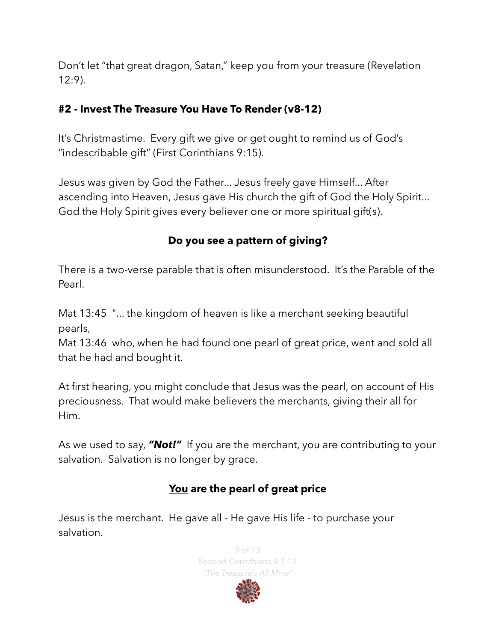Don't let "that great dragon, Satan," keep you from your treasure (Revelation 12:9).

#### **#2 - Invest The Treasure You Have To Render (v8-12)**

It's Christmastime. Every gift we give or get ought to remind us of God's "indescribable gift" (First Corinthians 9:15).

Jesus was given by God the Father... Jesus freely gave Himself... After ascending into Heaven, Jesus gave His church the gift of God the Holy Spirit... God the Holy Spirit gives every believer one or more spiritual gift(s).

#### **Do you see a pattern of giving?**

There is a two-verse parable that is often misunderstood. It's the Parable of the Pearl.

Mat 13:45 "... the kingdom of heaven is like a merchant seeking beautiful pearls,

Mat 13:46 who, when he had found one pearl of great price, went and sold all that he had and bought it.

At first hearing, you might conclude that Jesus was the pearl, on account of His preciousness. That would make believers the merchants, giving their all for Him.

As we used to say, *"Not!"* If you are the merchant, you are contributing to your salvation. Salvation is no longer by grace.

#### **You are the pearl of great price**

Jesus is the merchant. He gave all - He gave His life - to purchase your salvation.



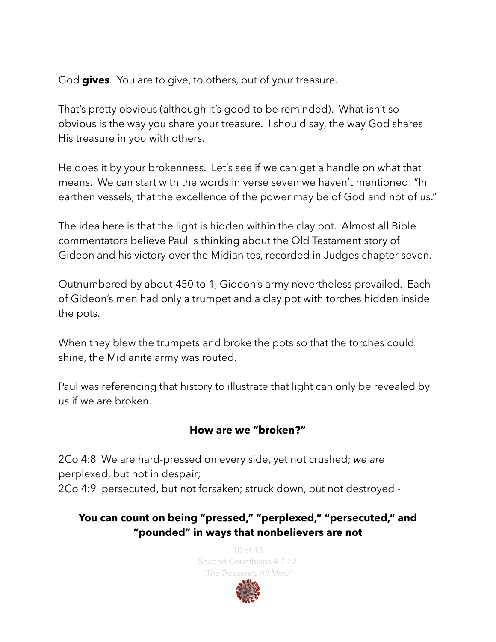God **gives**. You are to give, to others, out of your treasure.

That's pretty obvious (although it's good to be reminded). What isn't so obvious is the way you share your treasure. I should say, the way God shares His treasure in you with others.

He does it by your brokenness. Let's see if we can get a handle on what that means. We can start with the words in verse seven we haven't mentioned: "In earthen vessels, that the excellence of the power may be of God and not of us."

The idea here is that the light is hidden within the clay pot. Almost all Bible commentators believe Paul is thinking about the Old Testament story of Gideon and his victory over the Midianites, recorded in Judges chapter seven.

Outnumbered by about 450 to 1, Gideon's army nevertheless prevailed. Each of Gideon's men had only a trumpet and a clay pot with torches hidden inside the pots.

When they blew the trumpets and broke the pots so that the torches could shine, the Midianite army was routed.

Paul was referencing that history to illustrate that light can only be revealed by us if we are broken.

#### **How are we "broken?"**

2Co 4:8 We are hard-pressed on every side, yet not crushed; *we are* perplexed, but not in despair; 2Co 4:9 persecuted, but not forsaken; struck down, but not destroyed -

## **You can count on being "pressed," "perplexed," "persecuted," and "pounded" in ways that nonbelievers are not**

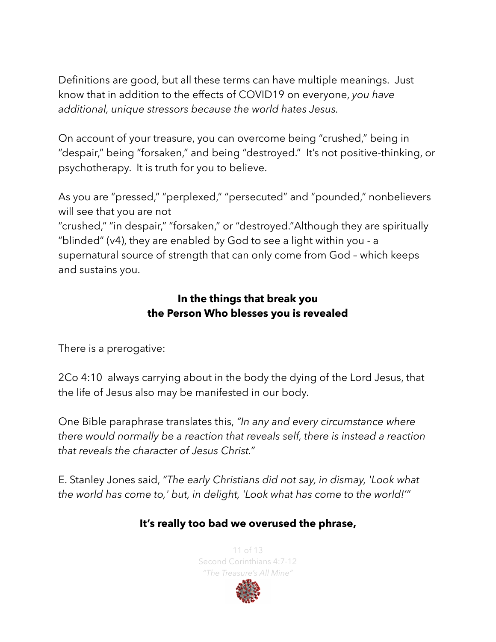Definitions are good, but all these terms can have multiple meanings. Just know that in addition to the effects of COVID19 on everyone, *you have additional, unique stressors because the world hates Jesus.* 

On account of your treasure, you can overcome being "crushed," being in "despair," being "forsaken," and being "destroyed." It's not positive-thinking, or psychotherapy. It is truth for you to believe.

As you are "pressed," "perplexed," "persecuted" and "pounded," nonbelievers will see that you are not

"crushed," "in despair," "forsaken," or "destroyed."Although they are spiritually "blinded" (v4), they are enabled by God to see a light within you - a supernatural source of strength that can only come from God – which keeps and sustains you.

#### **In the things that break you the Person Who blesses you is revealed**

There is a prerogative:

2Co 4:10 always carrying about in the body the dying of the Lord Jesus, that the life of Jesus also may be manifested in our body.

One Bible paraphrase translates this, *"In any and every circumstance where there would normally be a reaction that reveals self, there is instead a reaction that reveals the character of Jesus Christ."*

E. Stanley Jones said, *"The early Christians did not say, in dismay, 'Look what the world has come to,' but, in delight, 'Look what has come to the world!'"*

#### **It's really too bad we overused the phrase,**

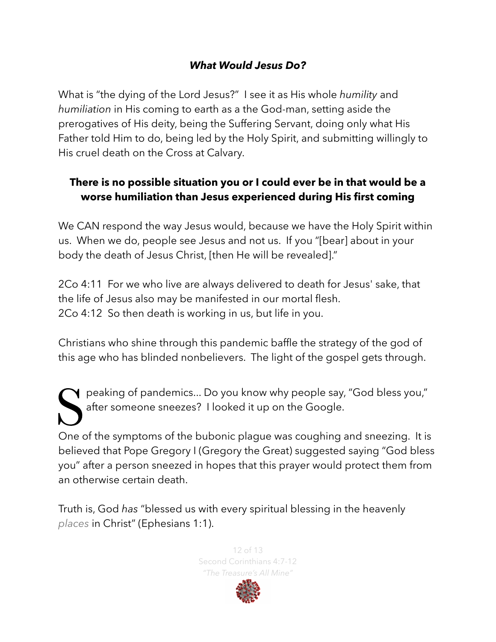#### *What Would Jesus Do?*

What is "the dying of the Lord Jesus?" I see it as His whole *humility* and *humiliation* in His coming to earth as a the God-man, setting aside the prerogatives of His deity, being the Suffering Servant, doing only what His Father told Him to do, being led by the Holy Spirit, and submitting willingly to His cruel death on the Cross at Calvary.

### **There is no possible situation you or I could ever be in that would be a worse humiliation than Jesus experienced during His first coming**

We CAN respond the way Jesus would, because we have the Holy Spirit within us. When we do, people see Jesus and not us. If you "[bear] about in your body the death of Jesus Christ, [then He will be revealed]."

2Co 4:11 For we who live are always delivered to death for Jesus' sake, that the life of Jesus also may be manifested in our mortal flesh. 2Co 4:12 So then death is working in us, but life in you.

Christians who shine through this pandemic baffle the strategy of the god of this age who has blinded nonbelievers. The light of the gospel gets through.

Speaking of pandemics... Do you know why people say, "God bless you," after someone sneezes? I looked it up on the Google.

One of the symptoms of the bubonic plague was coughing and sneezing. It is believed that Pope Gregory I (Gregory the Great) suggested saying "God bless you" after a person sneezed in hopes that this prayer would protect them from an otherwise certain death.

Truth is, God *has* "blessed us with every spiritual blessing in the heavenly *places* in Christ" (Ephesians 1:1).